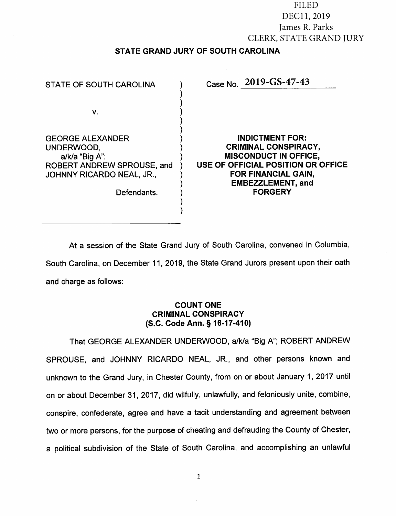FILED FILED DEC11, 2019 DEC11, 2019 James R. Parks James R. Parks CLERK, STATE GRAND JURY CLERK, STATE GRAND JURY STATE GRAND JURY OF SOUTH CAROLINA

| STATE OF SOUTH CAROLINA                                                                                                           | Case No. 2019-GS-47-43                                                                                                                                                                                  |
|-----------------------------------------------------------------------------------------------------------------------------------|---------------------------------------------------------------------------------------------------------------------------------------------------------------------------------------------------------|
| V.                                                                                                                                |                                                                                                                                                                                                         |
| <b>GEORGE ALEXANDER</b><br>UNDERWOOD,<br>a/k/a "Big A";<br>ROBERT ANDREW SPROUSE, and<br>JOHNNY RICARDO NEAL, JR.,<br>Defendants. | <b>INDICTMENT FOR:</b><br><b>CRIMINAL CONSPIRACY,</b><br><b>MISCONDUCT IN OFFICE,</b><br>USE OF OFFICIAL POSITION OR OFFICE<br><b>FOR FINANCIAL GAIN,</b><br><b>EMBEZZLEMENT, and</b><br><b>FORGERY</b> |

At <sup>a</sup> session of the State Grand Jury of South Carolina, convened in Columbia, South Carolina, on December 11, 2019, the State Grand Jurors present upon their oath and charge as follows:

# COUNT ONE CRIMINAL CONSPIRACY (S.C. Code Ann. § 16-17-410)

That GEORGE ALEXANDER UNDERWOOD, a/k/a "Big A"; ROBERT ANDREW SPROUSE, and JOHNNY RICARDO NEAL, JR., and other persons known and unknown to the Grand Jury, in Chester County, from on or about January 1, <sup>2017</sup> until on or about December 31, 2017, did wilfully, unlawfully, and feloniously unite, combine, conspire, confederate, agree and have <sup>a</sup> tacit understanding and agreement between two or more persons, for the purpose of cheating and defrauding the County of Chester, <sup>a</sup> political subdivision of the State of South Carolina, and accomplishing an unlawful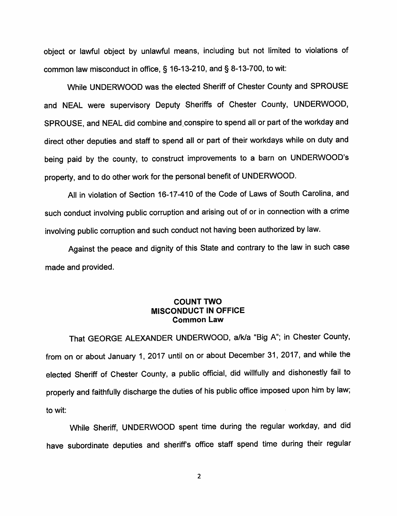object or lawful object by unlawful means, including but not limited to violations of common law misconduct in office, § 16-13-210, and § 8-13-700, to wit:

While UNDERWOOD was the elected Sheriff of Chester County and SPROUSE and NEAL were supervisory Deputy Sheriffs of Chester County, UNDERWOOD, SPROUSE, and NEAL did combine and. conspire to spend all or part of the workday and direct other deputies and staff to spend all or part of their workdays while on duty and being paid by the county, to construct improvements to <sup>a</sup> barn on UNDERWOOD'S property, and to do other work for the persona<sup>l</sup> benefit of UNDERWOOD.

All in violation of Section 16-17-410 of the Code of Laws of South Carolina, and such conduct involving public corruption and arising out of or in connection with <sup>a</sup> crime involving public corruption and such conduct not having been authorized by law.

Against the peace and dignity of this State and contrary to the law in such case made and provided.

## COUNT TWO MISCONDUCT IN OFFICE Common Law

That GEORGE ALEXANDER UNDERWOOD, a/k/a "Big A"; in Chester County, from on or about January 1, <sup>2017</sup> until on or about December 31, 2017, and while the elected Sheriff of Chester County, <sup>a</sup> public official, did willfully and dishonestly fail to properly and faithfully discharge the duties of his public office imposed upon him by law; to wit:

While Sheriff, UNDERWOOD spent time during the regular workday, and did have subordinate deputies and sheriffs office staff spend time during their regular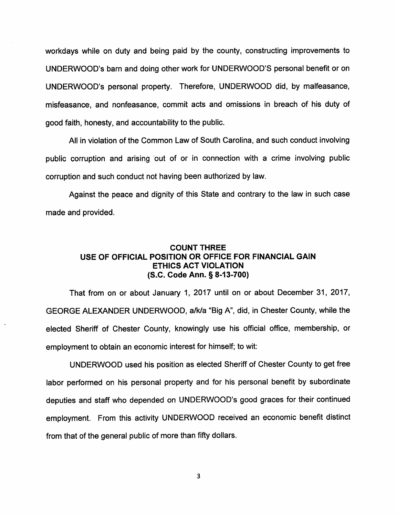workdays while on duty and being paid by the county, constructing improvements to UNDERWOOD'S barn and doing other work for UNDERWOOD'S personal benefit or on UNDERWOOD'S personal property. Therefore, UNDERWOOD did, by malfeasance, misfeasance, and nonfeasance, commit acts and omissions in breach of his duty of good faith, honesty, and accountability to the public.

All in violation of the Common Law of South Carolina, and such conduct involving public corruption and arising out of or in connection with <sup>a</sup> crime involving public corruption and such conduct not having been authorized by law.

Against the peace and dignity of this State and contrary to the law in such case made and provided.

### COUNT THREE USE OF OFFICIAL POSITION OR OFFICE FOR FINANCIAL GAIN ETHICS ACT VIOLATION (S.C. Code Ann. § 8-13-700)

That from on or about January 1, 2017 until on or about December 31, 2017, GEORGE ALEXANDER UNDERWOOD, a/k/a "Big A", did, in Chester County, while the elected Sheriff of Chester County, knowingly use his official office, membership, or employment to obtain an economic interest for himself; to wit:

UNDERWOOD used his position as elected Sheriff of Chester County to get free labor performed on his personal property and for his personal benefit by subordinate deputies and staff who depended on UNDERWOOD'S good graces for their continued employment. From this activity UNDERWOOD received an economic benefit distinct from that of the general public of more than fifty dollars.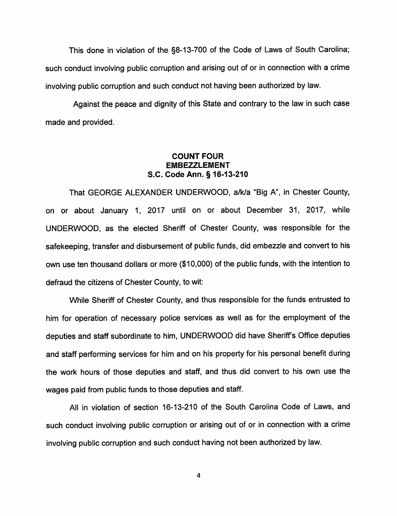This done in violation of the §8-13-700 of the Code of Laws of South Carolina; such conduct involving public corruption and arising out of or in connection with <sup>a</sup> crime involving public corruption and such conduct not having been authorized by law.

Against the peace and dignity of this State and contrary to the law in such case made and provided.

## COUNT FOUR EMBEZZLEMENT S.C. Code Ann. § 16-13-210

That GEORGE ALEXANDER UNDERWOOD, a/k/a "Big A", in Chester County, on or about January 1, 2017 until on or about December 31, 2017, while UNDERWOOD, as the elected Sheriff of Chester County, was responsible for the safekeeping, transfer and disbursement of public funds, did embezzle and convert to his own use ten thousand dollars or more (\$10,000) of the public funds, with the intention to defraud the citizens of Chester County, to wit:

While Sheriff of Chester County, and thus responsible for the funds entrusted to him for operation of necessary police services as well as for the employment of the deputies and staff subordinate to him, UNDERWOOD did have Sheriffs Office deputies and staff performing services for him and on his property for his personal benefit during the work hours of those deputies and staff, and thus did convert to his own use the wages paid from public funds to those deputies and staff.

All in violation of section 16-13-210 of the South Carolina Code of Laws, and such conduct involving public corruption or arising out of or in connection with <sup>a</sup> crime involving public corruption and such conduct having not been authorized by law.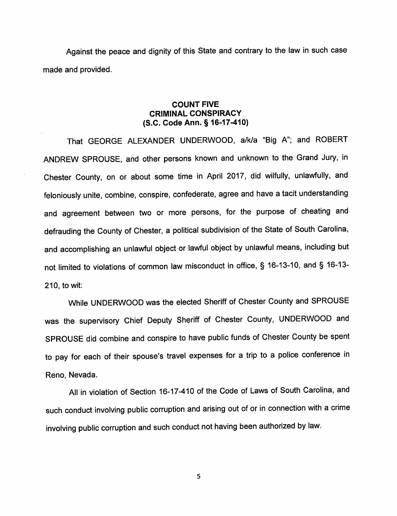Against the peace and dignity of this State and contrary to the law in such case made and provided.

## COUNT FIVE CRIMINAL CONSPIRACY (S.C. Code Ann. § 16-17-410)

That GEORGE ALEXANDER UNDERWOOD, a/k/a "Big A"; and ROBERT ANDREW SPROUSE, and other persons known and unknown to the Grand Jury, in Chester County, on or about some time in April 2017, did wilfully, unlawfully, and feloniously unite, combine, conspire, confederate, agree and have <sup>a</sup> tacit understanding and agreemen<sup>t</sup> between two or more persons, for the purpose of cheating and defrauding the County of Chester, <sup>a</sup> political subdivision of the State of South Carolina, and accomplishing an unlawful object or lawful object by unlawful means, including but not limited to violations of common law misconduct in office, § 16-13-10, and § 16-13- 210, to wit:

While UNDERWOOD was the elected Sheriff of Chester County and SPROUSE was the supervisory Chief Deputy Sheriff of Chester County, UNDERWOOD and SPROUSE did combine and conspire to have public funds of Chester County be spent to pay for each of their spouse's travel expenses for <sup>a</sup> trip to <sup>a</sup> police conference in Reno, Nevada.

All in violation of Section 16-17-410 of the Code of Laws of South Carolina, and such conduct involving public corruption and arising out of or in connection with <sup>a</sup> crime involving public corruption and such conduct not having been authorized by law.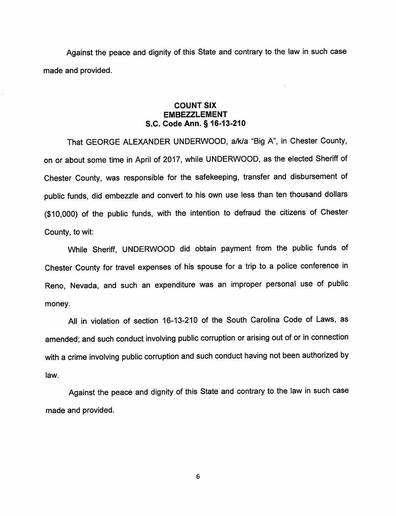Against the peace and dignity of this State and contrary to the law in such case made and provided.

## COUNT SIX **EMBEZZLEMENT** S.C. Code Ann. § 16-13-210

That GEORGE ALEXANDER UNDERWOOD, a/k/a "Big A", in Chester County, on or about some time in April of 2017, while UNDERWOOD, as the elected Sheriff of Chester County, was responsible for the safekeeping, transfer and disbursement of public funds, did embezzle and convert to his own use less than ten thousand dollars (\$10,000) of the public funds, with the intention to defraud the citizens of Chester County, to wit:

While Sheriff, UNDERWOOD did obtain payment from the public funds of Chester County for travel expenses of his spouse for <sup>a</sup> trip to <sup>a</sup> police conference in Reno, Nevada, and such an expenditure was an improper persona<sup>l</sup> use of public money.

All in violation of section 16-13-210 of the South Carolina Code of Laws, as amended; and such conduct involving public corruption or arising out of or in connection with <sup>a</sup> crime involving public corruption and such conduct having not been authorized by law.

Against the peace and dignity of this State and contrary to the law in such case made and provided.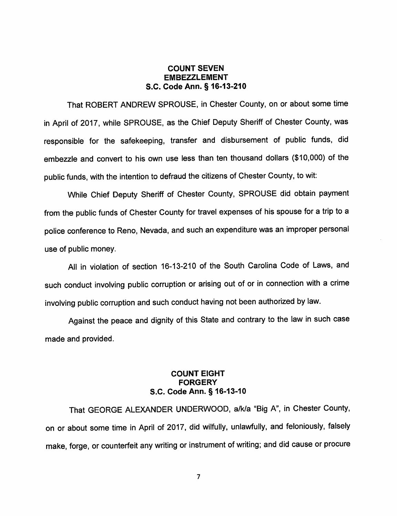### COUNT SEVEN EMBEZZLEMENT S.C. Code Ann. § 16-13-210

That ROBERT ANDREW SPROUSE, in Chester County, on or about some time in April of 2017, while SPROUSE, as the Chief Deputy Sheriff of Chester County, was responsible for the safekeeping, transfer and disbursement of public funds, did embezzle and convert to his own use less than ten thousand dollars (\$10,000) of the public funds, with the intention to defraud the citizens of Chester County, to wit:

While Chief Deputy Sheriff of Chester County, SPROUSE did obtain payment from the public funds of Chester County for travel expenses of his spouse for <sup>a</sup> trip to <sup>a</sup> police conference to Reno, Nevada, and such an expenditure was an improper persona<sup>l</sup> use of public money.

All in violation of section 16-13-210 of the South Carolina Code of Laws, and such conduct involving public corruption or arising out of or in connection with <sup>a</sup> crime involving public corruption and such conduct having not been authorized by law.

Against the peace and dignity of this State and contrary to the law in such case made and provided.

## COUNT EIGHT **FORGERY** S.C. Code Ann. § 16-13-10

That GEORGE ALEXANDER UNDERWOOD, a/k/a "Big A", in Chester County, on or about some time in April of 2017, did wilfully, unlawfully, and feloniously, falsely make, forge, or counterfeit any writing or instrument of writing; and did cause or procure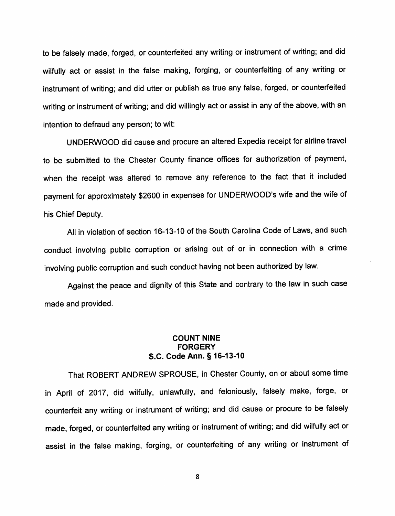to be falsely made, forged, or counterfeited any writing or instrument of writing; and did wilfully act or assist in the false making, forging, or counterfeiting of any writing or instrument of writing; and did utter or publish as true any false, forged, or counterfeited writing or instrument of writing; and did willingly act or assist in any of the above, with an intention to defraud any person; to wit:

UNDERWOOD did cause and procure an altered Expedia receipt for airline travel to be submitted to the Chester County finance offices for authorization of payment, when the receipt was altered to remove any reference to the fact that it included payment for approximately \$2600 in expenses for UNDERWOOD'S wife and the wife of his Chief Deputy.

All in violation of section 16-13-10 of the South Carolina Code of Laws, and such conduct involving public corruption or arising out of or in connection with <sup>a</sup> crime involving public corruption and such conduct having not been authorized by law.

Against the peace and dignity of this State and contrary to the law in such case made and provided.

## COUNT NINE FORGERY S.C. Code Ann. § 16-13-10

That ROBERT ANDREW SPROUSE, in Chester County, on or about some time in April of 2017, did wilfully, unlawfully, and feloniously, falsely make, forge, or counterfeit any writing or instrument of writing; and did cause or procure to be falsely made, forged, or counterfeited any writing or instrument of writing; and did wilfully act or assist in the false making, forging, or counterfeiting of any writing or instrument of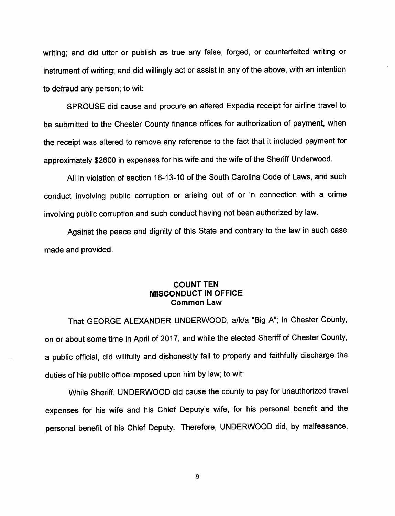writing; and did utter or publish as true any false, forged, or counterfeited writing or instrument of writing; and did willingly act or assist in any of the above, with an intention to defraud any person; to wit:

SPROUSE did cause and procure an altered Expedia receipt for airline travel to be submitted to the Chester County finance offices for authorization of payment, when the receipt was altered to remove any reference to the fact that it included payment for approximately \$2600 in expenses for his wife and the wife of the Sheriff Underwood.

All in violation of section 16-13-10 of the South Carolina Code of Laws, and such conduct involving public corruption or arising out of or in connection with <sup>a</sup> crime involving public corruption and such conduct having not been authorized by law.

Against the peace and dignity of this State and contrary to the law in such case made and provided.

## COUNT TEN MISCONDUCT IN OFFICE Common Law

That GEORGE ALEXANDER UNDERWOOD, a/k/a "Big A"; in Chester County, on or about some time in April of 2017, and while the elected Sheriff of Chester County, <sup>a</sup> public official, did willfully and dishonestly fail to properly and faithfully discharge the duties of his public office imposed upon him by law; to wit:

While Sheriff, UNDERWOOD did cause the county to pay for unauthorized travel expenses for his wife and his Chief Deputy's wife, for his persona<sup>l</sup> benefit and the persona<sup>l</sup> benefit of his Chief Deputy. Therefore, UNDERWOOD did, by malfeasance,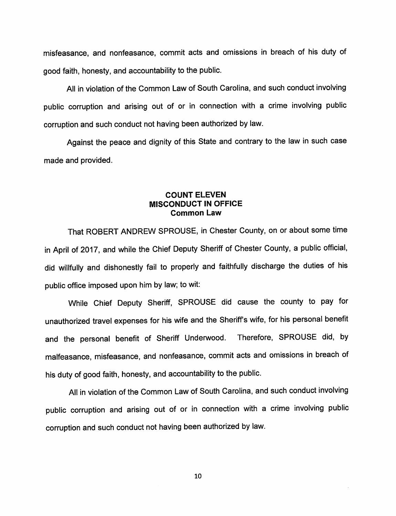misfeasance, and nonfeasance, commit acts and omissions in breach of his duty of good faith, honesty, and accountability to the public.

All in violation of the Common Law of South Carolina, and such conduct involving public corruption and arising out of or in connection with <sup>a</sup> crime involving public corruption and such conduct not having been authorized by law.

Against the peace and dignity of this State and contrary to the law in such case made and provided.

## COUNT ELEVEN MISCONDUCT IN OFFICE Common Law

That ROBERT ANDREW SPROUSE, in Chester County, on or about some time in April of 2017, and while the Chief Deputy Sheriff of Chester County, <sup>a</sup> public official, did willfully and dishonestly fail to properly and faithfully discharge the duties of his public office imposed upon him by law; to wit:

While Chief Deputy Sheriff, SPROUSE did cause the county to pay for unauthorized travel expenses for his wife and the Sheriff's wife, for his persona<sup>l</sup> benefit and the personal benefit of Sheriff Underwood. Therefore, SPROUSE did, by malfeasance, misfeasance, and nonfeasance, commit acts and omissions in breach of his duty of good faith, honesty, and accountability to the public.

All in violation of the Common Law of South Carolina, and such conduct involving public corruption and arising out of or in connection with <sup>a</sup> crime involving public corruption and such conduct not having been authorized by law.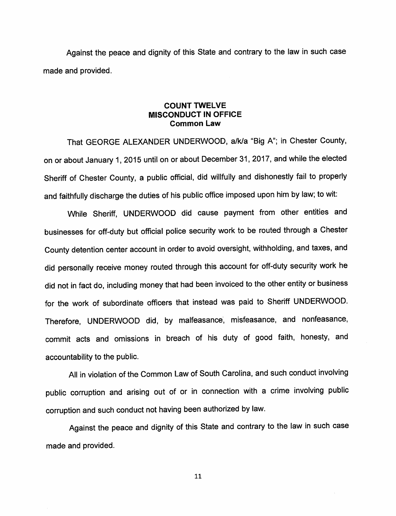Against the peace and dignity of this State and contrary to the law in such case made and provided.

### COUNT TWELVE MISCONDUCT IN OFFICE Common Law

That GEORGE ALEXANDER UNDERWOOD, a/k/a "Big A"; in Chester County, on or about January 1, <sup>2015</sup> until on or about December 31, 2017, and while the elected Sheriff of Chester County, <sup>a</sup> public official, did willfully and dishonestly fail to properly and faithfully discharge the duties of his public office imposed upon him by law; to wit:

While Sheriff, UNDERWOOD did cause payment from other entities and businesses for off-duty but official police security work to be routed through <sup>a</sup> Chester County detention center account in order to avoid oversight, withholding, and taxes, and did personally receive money routed through this account for off-duty security work he did not in fact do, including money that had been invoiced to the other entity or business for the work of subordinate officers that instead was paid to Sheriff UNDERWOOD. Therefore, UNDERWOOD did, by malfeasance, misfeasance, and nonfeasance, commit acts and omissions in breach of his duty of good faith, honesty, and accountability to the public.

All in violation of the Common Law of South Carolina, and such conduct involving public corruption and arising out of or in connection with <sup>a</sup> crime involving public corruption and such conduct not having been authorized by law.

Against the peace and dignity of this State and contrary to the law in such case made and provided.

li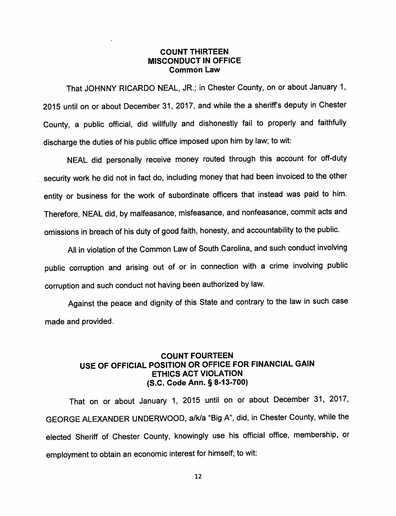### COUNT THIRTEEN MISCONDUCT IN OFFICE Common Law

That JOHNNY RICARDO NEAL, JR.; in Chester County, on or about January <sup>1</sup> <sup>2015</sup> until on or about December 31, 2017, and while the <sup>a</sup> sheriffs deputy in Chester County, <sup>a</sup> public official, did willfully and dishonestly fail to properly and faithfully discharge the duties of his public office imposed upon him by law; to wit:

NEAL did personally receive money routed through this account for off-duty security work he did not in fact do, including money that had been invoiced to the other entity or business for the work of subordinate officers that instead was paid to him. Therefore, NEAL did, by malfeasance, misfeasance, and nonfeasance, commit acts and omissions in breach of his duty of good faith, honesty, and accountability to the public.

All in violation of the Common Law of South Carolina, and such conduct involving public corruption and arising out of or in connection with <sup>a</sup> crime involving public corruption and such conduct not having been authorized by law.

Against the peace and dignity of this State and contrary to the law in such case made and provided.

## COUNT FOURTEEN USE OF OFFICIAL POSITION OR OFFICE FOR FINANCIAL GAIN ETHICS ACT VIOLATION (S.C. Code Ann. § 8-13-700)

That on or about January 1, <sup>2015</sup> until on or about December 31, <sup>2017</sup> GEORGE ALEXANDER UNDERWOOD, a/k/a "Big A", did, in Chester County, while the elected Sheriff of Chester County, knowingly use his official office, membership, or employment to obtain an economic interest for himself; to wit: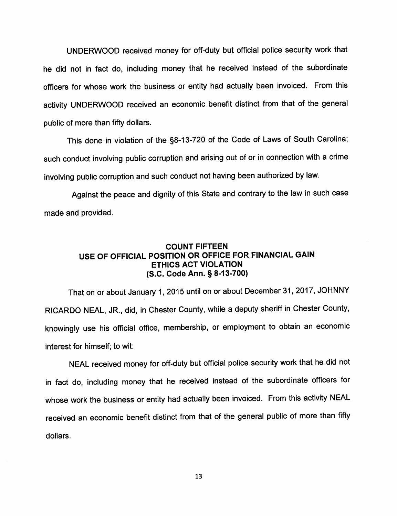UNDERWOOD received money for off-duty but official police security work that he did not in fact do, including money that he received instead of the subordinate officers for whose work the business or entity had actually been invoiced. From this activity UNDERWOOD received an economic benefit distinct from that of the genera<sup>l</sup> public of more than fifty dollars.

This done in violation of the §8-13-720 of the Code of Laws of South Carolina; such conduct involving public corruption and arising out of or in connection with <sup>a</sup> crime involving public corruption and such conduct not having been authorized by law.

Against the peace and dignity of this State and contrary to the law in such case made and provided.

## COUNT FIFTEEN USE OF OFFICIAL POSITION OR OFFICE FOR FINANCIAL GAIN ETHICS ACT VIOLATION (S.C. Code Ann. § 8-13-700)

That on or about January 1, <sup>2015</sup> until on or about December 31, 2017, JOHNNY RICARDO NEAL, JR., did, in Chester County, while <sup>a</sup> deputy sheriff in Chester County, knowingly use his official office, membership, or employment to obtain an economic interest for himself; to wit:

NEAL received money for off-duty but official police security work that he did not in fact do, including money that he received instead of the subordinate officers for whose work the business or entity had actually been invoiced. From this activity NEAL received an economic benefit distinct from that of the genera<sup>l</sup> public of more than fifty dollars.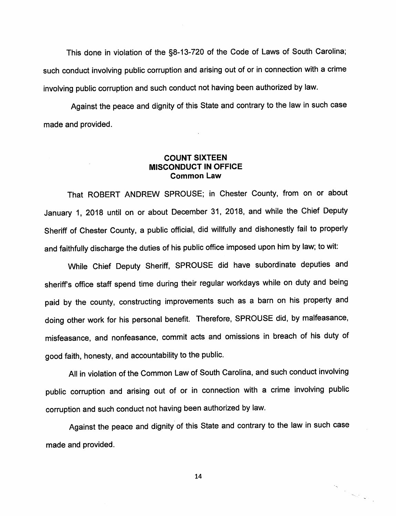This done in violation of the §8-13-720 of the Code of Laws of South Carolina; such conduct involving public corruption and arising out of or in connection with <sup>a</sup> crime involving public corruption and such conduct not having been authorized by law.

Against the peace and dignity of this State and contrary to the law in such case made and provided.

### COUNT SIXTEEN MISCONDUCT IN OFFICE Common Law

That ROBERT ANDREW SPROUSE; in Chester County, from on or about January 1, <sup>2018</sup> until on or about December 31, 2018, and while the Chief Deputy Sheriff of Chester County, <sup>a</sup> public official, did willfully and dishonestly fail to properly and faithfully discharge the duties of his public office imposed upon him by law; to wit:

While Chief Deputy Sheriff, SPROUSE did have subordinate deputies and sheriffs office staff spend time during their regular workdays while on duty and being paid by the county, constructing improvements such as <sup>a</sup> barn on his property and doing other work for his persona<sup>l</sup> benefit. Therefore, SPROUSE did, by malfeasance, misfeasance, and nonfeasance, commit acts and omissions in breach of his duty of good faith, honesty, and accountability to the public.

All in violation of the Common Law of South Carolina, and such conduct involving public corruption and arising out of or in connection with <sup>a</sup> crime involving public corruption and such conduct not having been authorized by law.

Against the peace and dignity of this State and contrary to the law in such case made and provided.

14